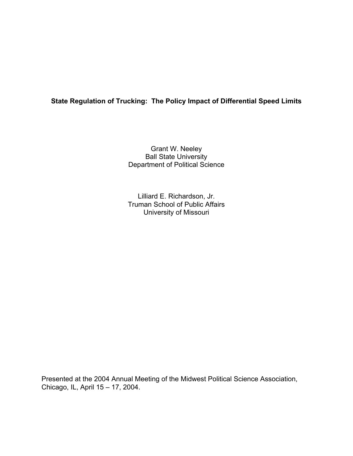# **State Regulation of Trucking: The Policy Impact of Differential Speed Limits**

Grant W. Neeley Ball State University Department of Political Science

Lilliard E. Richardson, Jr. Truman School of Public Affairs University of Missouri

Presented at the 2004 Annual Meeting of the Midwest Political Science Association, Chicago, IL, April 15 – 17, 2004.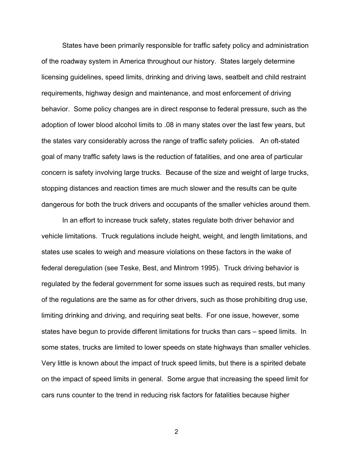States have been primarily responsible for traffic safety policy and administration of the roadway system in America throughout our history. States largely determine licensing guidelines, speed limits, drinking and driving laws, seatbelt and child restraint requirements, highway design and maintenance, and most enforcement of driving behavior. Some policy changes are in direct response to federal pressure, such as the adoption of lower blood alcohol limits to .08 in many states over the last few years, but the states vary considerably across the range of traffic safety policies. An oft-stated goal of many traffic safety laws is the reduction of fatalities, and one area of particular concern is safety involving large trucks. Because of the size and weight of large trucks, stopping distances and reaction times are much slower and the results can be quite dangerous for both the truck drivers and occupants of the smaller vehicles around them.

In an effort to increase truck safety, states regulate both driver behavior and vehicle limitations. Truck regulations include height, weight, and length limitations, and states use scales to weigh and measure violations on these factors in the wake of federal deregulation (see Teske, Best, and Mintrom 1995). Truck driving behavior is regulated by the federal government for some issues such as required rests, but many of the regulations are the same as for other drivers, such as those prohibiting drug use, limiting drinking and driving, and requiring seat belts. For one issue, however, some states have begun to provide different limitations for trucks than cars – speed limits. In some states, trucks are limited to lower speeds on state highways than smaller vehicles. Very little is known about the impact of truck speed limits, but there is a spirited debate on the impact of speed limits in general. Some argue that increasing the speed limit for cars runs counter to the trend in reducing risk factors for fatalities because higher

2 and 2 and 2 and 2 and 2 and 2 and 2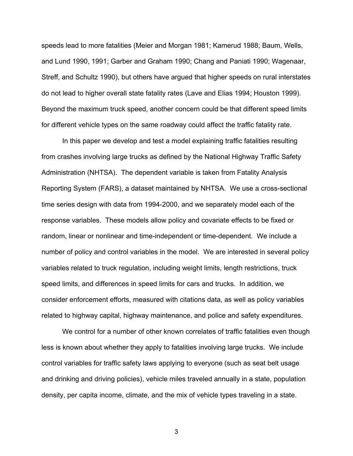speeds lead to more fatalities (Meier and Morgan 1981; Kamerud 1988; Baum, Wells, and Lund 1990, 1991; Garber and Graham 1990; Chang and Paniati 1990; Wagenaar, Streff, and Schultz 1990), but others have argued that higher speeds on rural interstates do not lead to higher overall state fatality rates (Lave and Elias 1994; Houston 1999). Beyond the maximum truck speed, another concern could be that different speed limits for different vehicle types on the same roadway could affect the traffic fatality rate.

In this paper we develop and test a model explaining traffic fatalities resulting from crashes involving large trucks as defined by the National Highway Traffic Safety Administration (NHTSA). The dependent variable is taken from Fatality Analysis Reporting System (FARS), a dataset maintained by NHTSA. We use a cross-sectional time series design with data from 1994-2000, and we separately model each of the response variables. These models allow policy and covariate effects to be fixed or random, linear or nonlinear and time-independent or time-dependent. We include a number of policy and control variables in the model. We are interested in several policy variables related to truck regulation, including weight limits, length restrictions, truck speed limits, and differences in speed limits for cars and trucks. In addition, we consider enforcement efforts, measured with citations data, as well as policy variables related to highway capital, highway maintenance, and police and safety expenditures.

We control for a number of other known correlates of traffic fatalities even though less is known about whether they apply to fatalities involving large trucks. We include control variables for traffic safety laws applying to everyone (such as seat belt usage and drinking and driving policies), vehicle miles traveled annually in a state, population density, per capita income, climate, and the mix of vehicle types traveling in a state.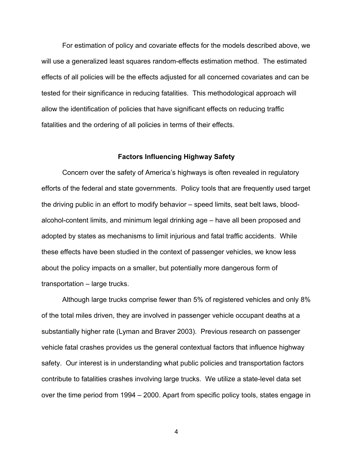For estimation of policy and covariate effects for the models described above, we will use a generalized least squares random-effects estimation method. The estimated effects of all policies will be the effects adjusted for all concerned covariates and can be tested for their significance in reducing fatalities. This methodological approach will allow the identification of policies that have significant effects on reducing traffic fatalities and the ordering of all policies in terms of their effects.

### **Factors Influencing Highway Safety**

Concern over the safety of America's highways is often revealed in regulatory efforts of the federal and state governments. Policy tools that are frequently used target the driving public in an effort to modify behavior – speed limits, seat belt laws, bloodalcohol-content limits, and minimum legal drinking age – have all been proposed and adopted by states as mechanisms to limit injurious and fatal traffic accidents. While these effects have been studied in the context of passenger vehicles, we know less about the policy impacts on a smaller, but potentially more dangerous form of transportation – large trucks.

Although large trucks comprise fewer than 5% of registered vehicles and only 8% of the total miles driven, they are involved in passenger vehicle occupant deaths at a substantially higher rate (Lyman and Braver 2003). Previous research on passenger vehicle fatal crashes provides us the general contextual factors that influence highway safety. Our interest is in understanding what public policies and transportation factors contribute to fatalities crashes involving large trucks. We utilize a state-level data set over the time period from 1994 – 2000. Apart from specific policy tools, states engage in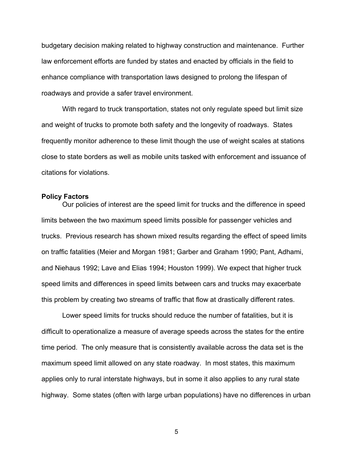budgetary decision making related to highway construction and maintenance. Further law enforcement efforts are funded by states and enacted by officials in the field to enhance compliance with transportation laws designed to prolong the lifespan of roadways and provide a safer travel environment.

With regard to truck transportation, states not only regulate speed but limit size and weight of trucks to promote both safety and the longevity of roadways. States frequently monitor adherence to these limit though the use of weight scales at stations close to state borders as well as mobile units tasked with enforcement and issuance of citations for violations.

### **Policy Factors**

Our policies of interest are the speed limit for trucks and the difference in speed limits between the two maximum speed limits possible for passenger vehicles and trucks. Previous research has shown mixed results regarding the effect of speed limits on traffic fatalities (Meier and Morgan 1981; Garber and Graham 1990; Pant, Adhami, and Niehaus 1992; Lave and Elias 1994; Houston 1999). We expect that higher truck speed limits and differences in speed limits between cars and trucks may exacerbate this problem by creating two streams of traffic that flow at drastically different rates.

Lower speed limits for trucks should reduce the number of fatalities, but it is difficult to operationalize a measure of average speeds across the states for the entire time period. The only measure that is consistently available across the data set is the maximum speed limit allowed on any state roadway. In most states, this maximum applies only to rural interstate highways, but in some it also applies to any rural state highway. Some states (often with large urban populations) have no differences in urban

 $5\,$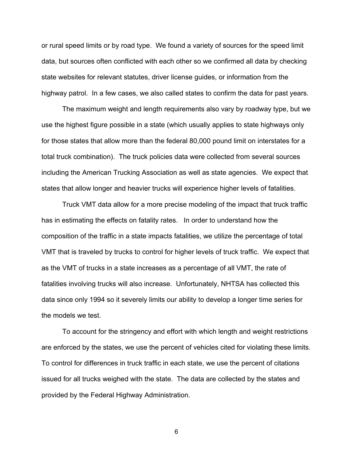or rural speed limits or by road type. We found a variety of sources for the speed limit data, but sources often conflicted with each other so we confirmed all data by checking state websites for relevant statutes, driver license guides, or information from the highway patrol. In a few cases, we also called states to confirm the data for past years.

The maximum weight and length requirements also vary by roadway type, but we use the highest figure possible in a state (which usually applies to state highways only for those states that allow more than the federal 80,000 pound limit on interstates for a total truck combination). The truck policies data were collected from several sources including the American Trucking Association as well as state agencies. We expect that states that allow longer and heavier trucks will experience higher levels of fatalities.

Truck VMT data allow for a more precise modeling of the impact that truck traffic has in estimating the effects on fatality rates. In order to understand how the composition of the traffic in a state impacts fatalities, we utilize the percentage of total VMT that is traveled by trucks to control for higher levels of truck traffic. We expect that as the VMT of trucks in a state increases as a percentage of all VMT, the rate of fatalities involving trucks will also increase. Unfortunately, NHTSA has collected this data since only 1994 so it severely limits our ability to develop a longer time series for the models we test.

To account for the stringency and effort with which length and weight restrictions are enforced by the states, we use the percent of vehicles cited for violating these limits. To control for differences in truck traffic in each state, we use the percent of citations issued for all trucks weighed with the state. The data are collected by the states and provided by the Federal Highway Administration.

 $\sim$  600  $\sim$  600  $\sim$  600  $\sim$  600  $\sim$  600  $\sim$  600  $\sim$  600  $\sim$  600  $\sim$  600  $\sim$  600  $\sim$  600  $\sim$  600  $\sim$  600  $\sim$  600  $\sim$  600  $\sim$  600  $\sim$  600  $\sim$  600  $\sim$  600  $\sim$  600  $\sim$  600  $\sim$  600  $\sim$  600  $\sim$  600  $\sim$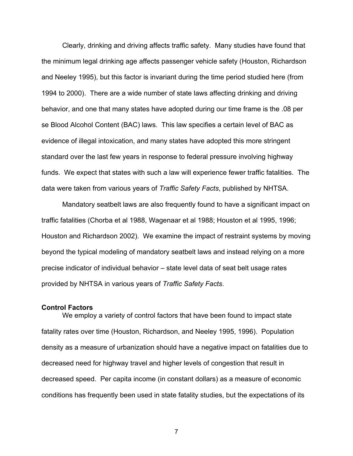Clearly, drinking and driving affects traffic safety. Many studies have found that the minimum legal drinking age affects passenger vehicle safety (Houston, Richardson and Neeley 1995), but this factor is invariant during the time period studied here (from 1994 to 2000). There are a wide number of state laws affecting drinking and driving behavior, and one that many states have adopted during our time frame is the .08 per se Blood Alcohol Content (BAC) laws. This law specifies a certain level of BAC as evidence of illegal intoxication, and many states have adopted this more stringent standard over the last few years in response to federal pressure involving highway funds. We expect that states with such a law will experience fewer traffic fatalities. The data were taken from various years of *Traffic Safety Facts*, published by NHTSA.

Mandatory seatbelt laws are also frequently found to have a significant impact on traffic fatalities (Chorba et al 1988, Wagenaar et al 1988; Houston et al 1995, 1996; Houston and Richardson 2002). We examine the impact of restraint systems by moving beyond the typical modeling of mandatory seatbelt laws and instead relying on a more precise indicator of individual behavior – state level data of seat belt usage rates provided by NHTSA in various years of *Traffic Safety Facts*.

#### **Control Factors**

We employ a variety of control factors that have been found to impact state fatality rates over time (Houston, Richardson, and Neeley 1995, 1996). Population density as a measure of urbanization should have a negative impact on fatalities due to decreased need for highway travel and higher levels of congestion that result in decreased speed. Per capita income (in constant dollars) as a measure of economic conditions has frequently been used in state fatality studies, but the expectations of its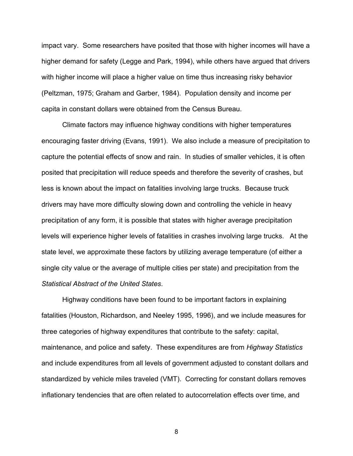impact vary. Some researchers have posited that those with higher incomes will have a higher demand for safety (Legge and Park, 1994), while others have argued that drivers with higher income will place a higher value on time thus increasing risky behavior (Peltzman, 1975; Graham and Garber, 1984). Population density and income per capita in constant dollars were obtained from the Census Bureau.

Climate factors may influence highway conditions with higher temperatures encouraging faster driving (Evans, 1991). We also include a measure of precipitation to capture the potential effects of snow and rain. In studies of smaller vehicles, it is often posited that precipitation will reduce speeds and therefore the severity of crashes, but less is known about the impact on fatalities involving large trucks. Because truck drivers may have more difficulty slowing down and controlling the vehicle in heavy precipitation of any form, it is possible that states with higher average precipitation levels will experience higher levels of fatalities in crashes involving large trucks. At the state level, we approximate these factors by utilizing average temperature (of either a single city value or the average of multiple cities per state) and precipitation from the *Statistical Abstract of the United States*.

 Highway conditions have been found to be important factors in explaining fatalities (Houston, Richardson, and Neeley 1995, 1996), and we include measures for three categories of highway expenditures that contribute to the safety: capital, maintenance, and police and safety. These expenditures are from *Highway Statistics* and include expenditures from all levels of government adjusted to constant dollars and standardized by vehicle miles traveled (VMT). Correcting for constant dollars removes inflationary tendencies that are often related to autocorrelation effects over time, and

<u>88 - Santa Amerikaanse konstantine (</u>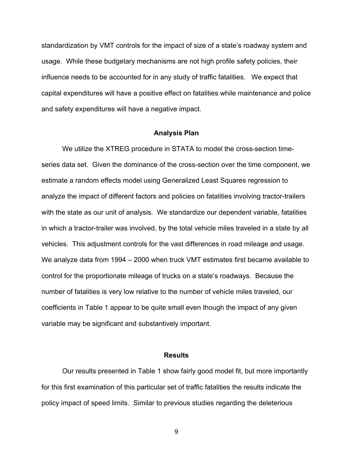standardization by VMT controls for the impact of size of a state's roadway system and usage. While these budgetary mechanisms are not high profile safety policies, their influence needs to be accounted for in any study of traffic fatalities. We expect that capital expenditures will have a positive effect on fatalities while maintenance and police and safety expenditures will have a negative impact.

#### **Analysis Plan**

We utilize the XTREG procedure in STATA to model the cross-section timeseries data set. Given the dominance of the cross-section over the time component, we estimate a random effects model using Generalized Least Squares regression to analyze the impact of different factors and policies on fatalities involving tractor-trailers with the state as our unit of analysis. We standardize our dependent variable, fatalities in which a tractor-trailer was involved, by the total vehicle miles traveled in a state by all vehicles. This adjustment controls for the vast differences in road mileage and usage. We analyze data from 1994 – 2000 when truck VMT estimates first became available to control for the proportionate mileage of trucks on a state's roadways. Because the number of fatalities is very low relative to the number of vehicle miles traveled, our coefficients in Table 1 appear to be quite small even though the impact of any given variable may be significant and substantively important.

## **Results**

 Our results presented in Table 1 show fairly good model fit, but more importantly for this first examination of this particular set of traffic fatalities the results indicate the policy impact of speed limits. Similar to previous studies regarding the deleterious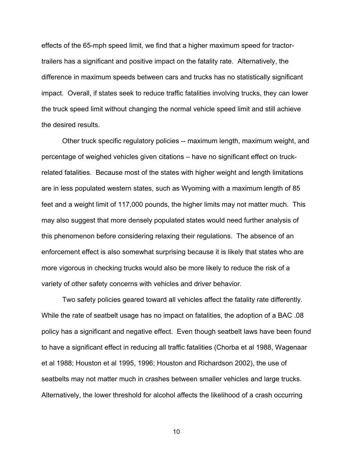effects of the 65-mph speed limit, we find that a higher maximum speed for tractortrailers has a significant and positive impact on the fatality rate. Alternatively, the difference in maximum speeds between cars and trucks has no statistically significant impact. Overall, if states seek to reduce traffic fatalities involving trucks, they can lower the truck speed limit without changing the normal vehicle speed limit and still achieve the desired results.

 Other truck specific regulatory policies -- maximum length, maximum weight, and percentage of weighed vehicles given citations – have no significant effect on truckrelated fatalities. Because most of the states with higher weight and length limitations are in less populated western states, such as Wyoming with a maximum length of 85 feet and a weight limit of 117,000 pounds, the higher limits may not matter much. This may also suggest that more densely populated states would need further analysis of this phenomenon before considering relaxing their regulations. The absence of an enforcement effect is also somewhat surprising because it is likely that states who are more vigorous in checking trucks would also be more likely to reduce the risk of a variety of other safety concerns with vehicles and driver behavior.

Two safety policies geared toward all vehicles affect the fatality rate differently. While the rate of seatbelt usage has no impact on fatalities, the adoption of a BAC .08 policy has a significant and negative effect. Even though seatbelt laws have been found to have a significant effect in reducing all traffic fatalities (Chorba et al 1988, Wagenaar et al 1988; Houston et al 1995, 1996; Houston and Richardson 2002), the use of seatbelts may not matter much in crashes between smaller vehicles and large trucks. Alternatively, the lower threshold for alcohol affects the likelihood of a crash occurring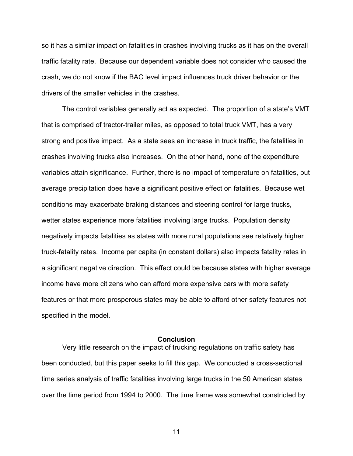so it has a similar impact on fatalities in crashes involving trucks as it has on the overall traffic fatality rate. Because our dependent variable does not consider who caused the crash, we do not know if the BAC level impact influences truck driver behavior or the drivers of the smaller vehicles in the crashes.

The control variables generally act as expected. The proportion of a state's VMT that is comprised of tractor-trailer miles, as opposed to total truck VMT, has a very strong and positive impact. As a state sees an increase in truck traffic, the fatalities in crashes involving trucks also increases. On the other hand, none of the expenditure variables attain significance. Further, there is no impact of temperature on fatalities, but average precipitation does have a significant positive effect on fatalities. Because wet conditions may exacerbate braking distances and steering control for large trucks, wetter states experience more fatalities involving large trucks. Population density negatively impacts fatalities as states with more rural populations see relatively higher truck-fatality rates. Income per capita (in constant dollars) also impacts fatality rates in a significant negative direction. This effect could be because states with higher average income have more citizens who can afford more expensive cars with more safety features or that more prosperous states may be able to afford other safety features not specified in the model.

# **Conclusion**

 Very little research on the impact of trucking regulations on traffic safety has been conducted, but this paper seeks to fill this gap. We conducted a cross-sectional time series analysis of traffic fatalities involving large trucks in the 50 American states over the time period from 1994 to 2000. The time frame was somewhat constricted by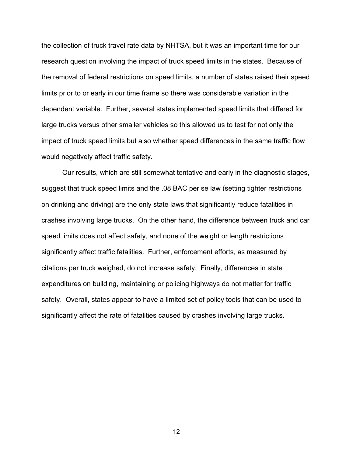the collection of truck travel rate data by NHTSA, but it was an important time for our research question involving the impact of truck speed limits in the states. Because of the removal of federal restrictions on speed limits, a number of states raised their speed limits prior to or early in our time frame so there was considerable variation in the dependent variable. Further, several states implemented speed limits that differed for large trucks versus other smaller vehicles so this allowed us to test for not only the impact of truck speed limits but also whether speed differences in the same traffic flow would negatively affect traffic safety.

 Our results, which are still somewhat tentative and early in the diagnostic stages, suggest that truck speed limits and the .08 BAC per se law (setting tighter restrictions on drinking and driving) are the only state laws that significantly reduce fatalities in crashes involving large trucks. On the other hand, the difference between truck and car speed limits does not affect safety, and none of the weight or length restrictions significantly affect traffic fatalities. Further, enforcement efforts, as measured by citations per truck weighed, do not increase safety. Finally, differences in state expenditures on building, maintaining or policing highways do not matter for traffic safety. Overall, states appear to have a limited set of policy tools that can be used to significantly affect the rate of fatalities caused by crashes involving large trucks.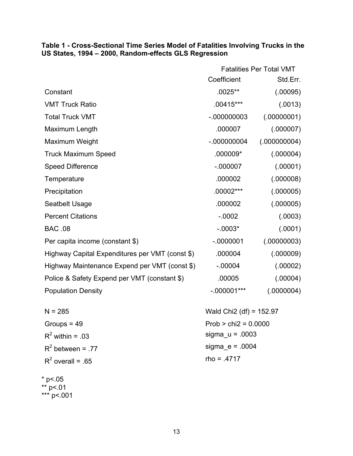# **Table 1 - Cross-Sectional Time Series Model of Fatalities Involving Trucks in the US States, 1994 – 2000, Random-effects GLS Regression**

|                                                 | <b>Fatalities Per Total VMT</b>       |              |
|-------------------------------------------------|---------------------------------------|--------------|
|                                                 | Coefficient                           | Std.Err.     |
| Constant                                        | .0025**                               | (.00095)     |
| <b>VMT Truck Ratio</b>                          | .00415***                             | (.0013)      |
| <b>Total Truck VMT</b>                          | $-000000003$                          | (.00000001)  |
| Maximum Length                                  | .000007                               | (.000007)    |
| Maximum Weight                                  | $-000000004$                          | (.000000004) |
| <b>Truck Maximum Speed</b>                      | $.000009*$                            | (.000004)    |
| <b>Speed Difference</b>                         | $-.000007$                            | (.00001)     |
| Temperature                                     | .000002                               | (.000008)    |
| Precipitation                                   | .00002***                             | (.000005)    |
| Seatbelt Usage                                  | .000002                               | (.000005)    |
| <b>Percent Citations</b>                        | $-0.0002$                             | (.0003)      |
| <b>BAC .08</b>                                  | $-0.003*$                             | (.0001)      |
| Per capita income (constant \$)                 | $-0000001$                            | (.00000003)  |
| Highway Capital Expenditures per VMT (const \$) | .000004                               | (.000009)    |
| Highway Maintenance Expend per VMT (const \$)   | $-.00004$                             | (.00002)     |
| Police & Safety Expend per VMT (constant \$)    | .00005                                | (.00004)     |
| <b>Population Density</b>                       | $-.000001***$                         | (.0000004)   |
| $N = 285$                                       | Wald Chi <sub>2</sub> (df) = $152.97$ |              |

| $\mathbf{v} = \mathbf{v}$ | <b>THE THE THE THE V</b> |
|---------------------------|--------------------------|
| Groups = $49$             | $Prob > chi2 = 0.0000$   |
| $R^2$ within = .03        | sigma $u = .0003$        |
| $R^2$ between = .77       | sigma $e = .0004$        |
| $R^2$ overall = .65       | $rho = .4717$            |
|                           |                          |

\* p<.05 \*\* p<.01 \*\*\* p<.001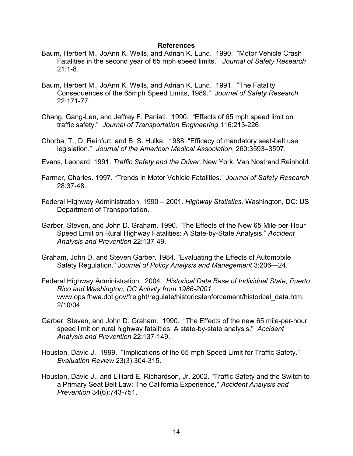# **References**

- Baum, Herbert M., JoAnn K. Wells, and Adrian K. Lund. 1990. "Motor Vehicle Crash Fatalities in the second year of 65 mph speed limits." *Journal of Safety Research* 21:1-8.
- Baum, Herbert M., JoAnn K. Wells, and Adrian K. Lund. 1991. "The Fatality Consequences of the 65mph Speed Limits, 1989." *Journal of Safety Research* 22:171-77.
- Chang, Gang-Len, and Jeffrey F. Paniati. 1990. "Effects of 65 mph speed limit on traffic safety." *Journal of Transportation Engineering* 116:213-226.
- Chorba, T., D. Reinfurt, and B. S. Hulka. 1988. "Efficacy of mandatory seat-belt use legislation." *Journal of the American Medical Association*. 260:3593–3597.
- Evans, Leonard. 1991. *Traffic Safety and the Driver*. New York: Van Nostrand Reinhold.
- Farmer, Charles. 1997. "Trends in Motor Vehicle Fatalities." *Journal of Safety Research* 28:37-48.
- Federal Highway Administration. 1990 2001. *Highway Statistics*. Washington, DC: US Department of Transportation.
- Garber, Steven, and John D. Graham. 1990. "The Effects of the New 65 Mile-per-Hour Speed Limit on Rural Highway Fatalities: A State-by-State Analysis." *Accident Analysis and Prevention* 22:137-49.
- Graham, John D. and Steven Garber. 1984. "Evaluating the Effects of Automobile Safety Regulation." *Journal of Policy Analysis and Management* 3:206—24.
- Federal Highway Administration. 2004. *Historical Data Base of Individual State, Puerto Rico and Washington, DC Activity from 1986-2001*. www.ops.fhwa.dot.gov/freight/regulate/historicalenforcement/historical\_data.htm, 2/10/04.
- Garber, Steven, and John D. Graham. 1990. "The Effects of the new 65 mile-per-hour speed limit on rural highway fatalities: A state-by-state analysis." *Accident Analysis and Prevention* 22:137-149.
- Houston, David J. 1999. "Implications of the 65-mph Speed Limit for Traffic Safety." *Evaluation Review* 23(3):304-315.
- Houston, David J., and Lilliard E. Richardson, Jr. 2002. "Traffic Safety and the Switch to a Primary Seat Belt Law: The California Experience," *Accident Analysis and Prevention* 34(6):743-751.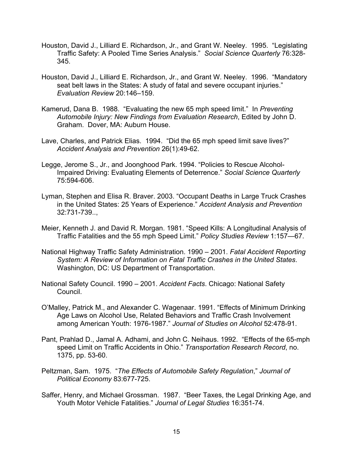- Houston, David J., Lilliard E. Richardson, Jr., and Grant W. Neeley. 1995. "Legislating Traffic Safety: A Pooled Time Series Analysis." *Social Science Quarterly* 76:328- 345.
- Houston, David J., Lilliard E. Richardson, Jr., and Grant W. Neeley. 1996. "Mandatory seat belt laws in the States: A study of fatal and severe occupant injuries." *Evaluation Review* 20:146–159.
- Kamerud, Dana B. 1988. "Evaluating the new 65 mph speed limit." In *Preventing Automobile Injury: New Findings from Evaluation Research*, Edited by John D. Graham. Dover, MA: Auburn House.
- Lave, Charles, and Patrick Elias. 1994. "Did the 65 mph speed limit save lives?" *Accident Analysis and Prevention* 26(1):49-62.
- Legge, Jerome S., Jr., and Joonghood Park. 1994. "Policies to Rescue Alcohol-Impaired Driving: Evaluating Elements of Deterrence." *Social Science Quarterly* 75:594-606.
- Lyman, Stephen and Elisa R. Braver. 2003. "Occupant Deaths in Large Truck Crashes in the United States: 25 Years of Experience." *Accident Analysis and Prevention* 32:731-739..,
- Meier, Kenneth J. and David R. Morgan. 1981. "Speed Kills: A Longitudinal Analysis of Traffic Fatalities and the 55 mph Speed Limit." *Policy Studies Review* 1:157—67.
- National Highway Traffic Safety Administration. 1990 2001. *Fatal Accident Reporting System: A Review of Information on Fatal Traffic Crashes in the United States*. Washington, DC: US Department of Transportation.
- National Safety Council. 1990 2001. *Accident Facts*. Chicago: National Safety Council.
- O'Malley, Patrick M., and Alexander C. Wagenaar. 1991. "Effects of Minimum Drinking Age Laws on Alcohol Use, Related Behaviors and Traffic Crash Involvement among American Youth: 1976-1987." *Journal of Studies on Alcohol* 52:478-91.
- Pant, Prahlad D., Jamal A. Adhami, and John C. Neihaus. 1992. "Effects of the 65-mph speed Limit on Traffic Accidents in Ohio." *Transportation Research Record*, no. 1375, pp. 53-60.
- Peltzman, Sam. 1975. "*The Effects of Automobile Safety Regulation*," *Journal of Political Economy* 83:677-725.
- Saffer, Henry, and Michael Grossman. 1987. "Beer Taxes, the Legal Drinking Age, and Youth Motor Vehicle Fatalities." *Journal of Legal Studies* 16:351-74.